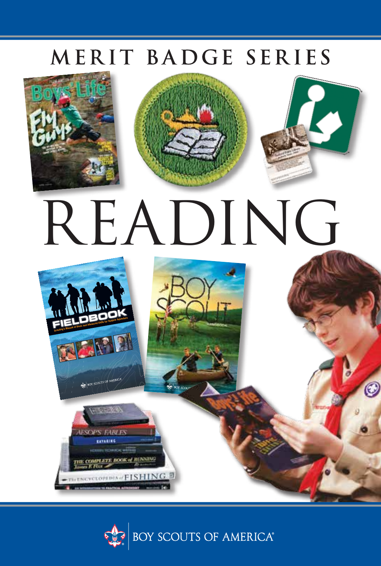# MERIT BADGE SERIES



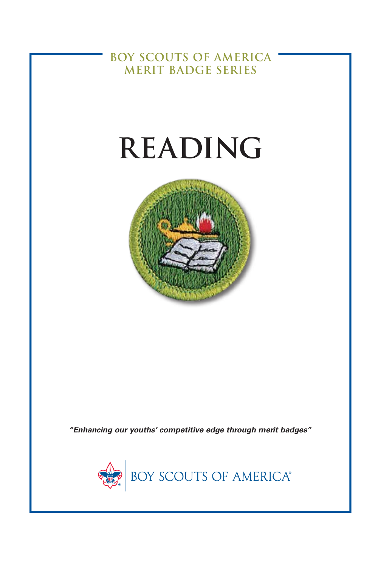**BOY SCOUTS OF AMERICA MERIT BADGE SERIES**

# **READING**



*"Enhancing our youths' competitive edge through merit badges"*

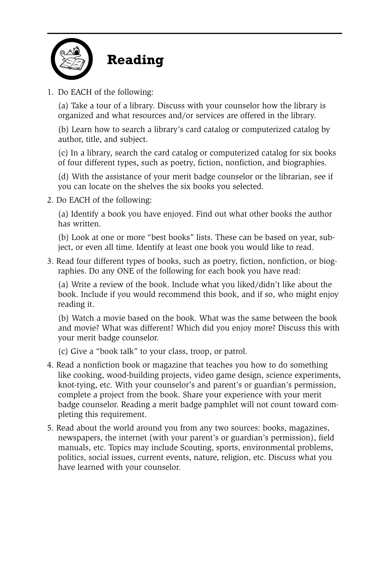

1. Do EACH of the following:

(a) Take a tour of a library. Discuss with your counselor how the library is organized and what resources and/or services are offered in the library.

(b) Learn how to search a library's card catalog or computerized catalog by author, title, and subject.

(c) In a library, search the card catalog or computerized catalog for six books of four different types, such as poetry, fiction, nonfiction, and biographies.

(d) With the assistance of your merit badge counselor or the librarian, see if you can locate on the shelves the six books you selected.

2. Do EACH of the following:

(a) Identify a book you have enjoyed. Find out what other books the author has written.

(b) Look at one or more "best books" lists. These can be based on year, subject, or even all time. Identify at least one book you would like to read.

3. Read four different types of books, such as poetry, fiction, nonfiction, or biographies. Do any ONE of the following for each book you have read:

(a) Write a review of the book. Include what you liked/didn't like about the book. Include if you would recommend this book, and if so, who might enjoy reading it.

(b) Watch a movie based on the book. What was the same between the book and movie? What was different? Which did you enjoy more? Discuss this with your merit badge counselor.

(c) Give a "book talk" to your class, troop, or patrol.

- 4. Read a nonfiction book or magazine that teaches you how to do something like cooking, wood-building projects, video game design, science experiments, knot-tying, etc. With your counselor's and parent's or guardian's permission, complete a project from the book. Share your experience with your merit badge counselor. Reading a merit badge pamphlet will not count toward completing this requirement.
- 5. Read about the world around you from any two sources: books, magazines, newspapers, the internet (with your parent's or guardian's permission), field manuals, etc. Topics may include Scouting, sports, environmental problems, politics, social issues, current events, nature, religion, etc. Discuss what you have learned with your counselor.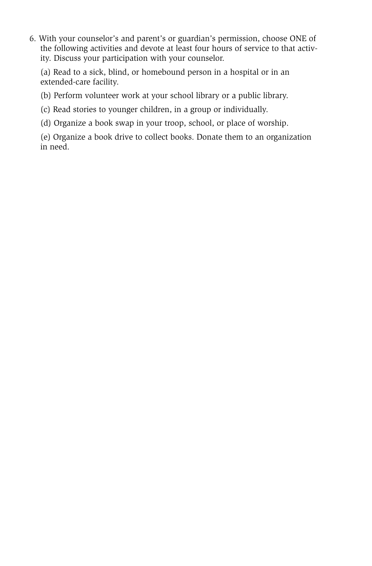6. With your counselor's and parent's or guardian's permission, choose ONE of the following activities and devote at least four hours of service to that activity. Discuss your participation with your counselor.

(a) Read to a sick, blind, or homebound person in a hospital or in an extended-care facility.

(b) Perform volunteer work at your school library or a public library.

(c) Read stories to younger children, in a group or individually.

(d) Organize a book swap in your troop, school, or place of worship.

(e) Organize a book drive to collect books. Donate them to an organization in need.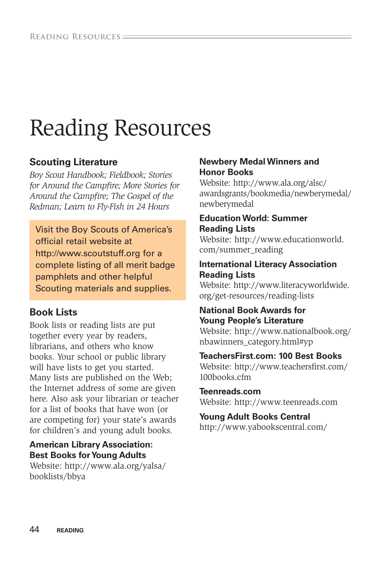# Reading Resources

# **Scouting Literature**

*Boy Scout Handbook; Fieldbook; Stories for Around the Campfire; More Stories for Around the Campfire; The Gospel of the Redman; Learn to Fly-Fish in 24 Hours*

Visit the Boy Scouts of America's official retail website at http://www.scoutstuff.org for a complete listing of all merit badge pamphlets and other helpful Scouting materials and supplies.

# **Book Lists**

Book lists or reading lists are put together every year by readers, librarians, and others who know books. Your school or public library will have lists to get you started. Many lists are published on the Web; the Internet address of some are given here. Also ask your librarian or teacher for a list of books that have won (or are competing for) your state's awards for children's and young adult books.

#### **American Library Association: Best Books for Young Adults**

Website: [http://www.ala.org/yalsa/](http://www.ala.org/yalsa/booklists/bbya) [booklists/bbya](http://www.ala.org/yalsa/booklists/bbya)

#### **Newbery Medal Winners and Honor Books**

Website: [http://www.ala.org/alsc/](http://www.ala.org/alsc/awardsgrants/bookmedia/newberymedal/newberymedal) [awardsgrants/bookmedia/newberymedal/](http://www.ala.org/alsc/awardsgrants/bookmedia/newberymedal/newberymedal) [newberymedal](http://www.ala.org/alsc/awardsgrants/bookmedia/newberymedal/newberymedal)

#### **Education World: Summer Reading Lists**

Website: [http://www.educationworld.](http://www.educationworld.com/summer_reading) [com/summer\\_reading](http://www.educationworld.com/summer_reading)

#### **International Literacy Association Reading Lists**

Website: [http://www.literacyworldwide.](http://www.literacyworldwide.org/get-resources/reading-lists) [org/get-resources/reading-lists](http://www.literacyworldwide.org/get-resources/reading-lists)

#### **National Book Awards for Young People's Literature**

Website: [http://www.nationalbook.org/](http://www.nationalbook.org/nbawinners_category.html#yp) [nbawinners\\_category.html#yp](http://www.nationalbook.org/nbawinners_category.html#yp)

#### **TeachersFirst.com: 100 Best Books**

Website: [http://www.teachersfirst.com/](http://www.teachersfirst.com/100books.cfm) [100books.cfm](http://www.teachersfirst.com/100books.cfm)

#### **Teenreads.com**

Website: <http://www.teenreads.com>

#### **Young Adult Books Central**

<http://www.yabookscentral.com/>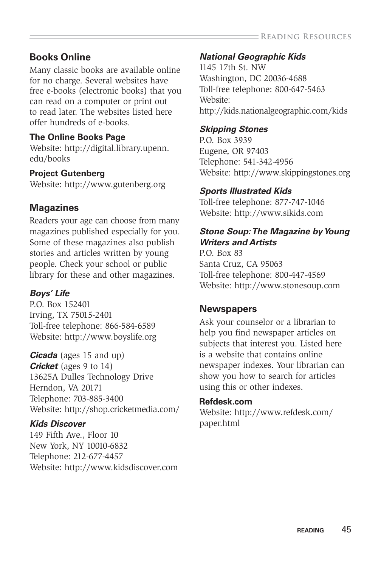# **Books Online**

Many classic books are available online for no charge. Several websites have free e-books (electronic books) that you can read on a computer or print out to read later. The websites listed here offer hundreds of e-books.

# **The Online Books Page**

Website: [http://digital.library.upenn.](http://digital.library.upenn.edu/books) [edu/books](http://digital.library.upenn.edu/books)

# **Project Gutenberg**

Website: <http://www.gutenberg.org>

# **Magazines**

Readers your age can choose from many magazines published especially for you. Some of these magazines also publish stories and articles written by young people. Check your school or public library for these and other magazines.

# *Boys' Life*

P.O. Box 152401 Irving, TX 75015-2401 Toll-free telephone: 866-584-6589 Website: http://www.boyslife.org

*Cicada* (ages 15 and up) **Cricket** (ages 9 to 14) 13625A Dulles Technology Drive Herndon, VA 20171 Telephone: 703-885-3400 Website: <http://shop.cricketmedia.com/>

# *Kids Discover*

149 Fifth Ave., Floor 10 New York, NY 10010-6832 Telephone: 212-677-4457 Website: <http://www.kidsdiscover.com>

# *National Geographic Kids*

1145 17th St. NW Washington, DC 20036-4688 Toll-free telephone: 800-647-5463 Website: <http://kids.nationalgeographic.com/kids>

# *Skipping Stones*

P.O. Box 3939 Eugene, OR 97403 Telephone: 541-342-4956 Website:<http://www.skippingstones.org>

# *Sports Illustrated Kids*

Toll-free telephone: 877-747-1046 Website: http://www.sikids.com

# *Stone Soup: The Magazine by Young Writers and Artists*

P.O. Box 83 Santa Cruz, CA 95063 Toll-free telephone: 800-447-4569 Website: <http://www.stonesoup.com>

# **Newspapers**

Ask your counselor or a librarian to help you find newspaper articles on subjects that interest you. Listed here is a website that contains online newspaper indexes. Your librarian can show you how to search for articles using this or other indexes.

#### **Refdesk.com**

Website: [http://www.refdesk.com/](http://www.refdesk.com/paper.html) [paper.html](http://www.refdesk.com/paper.html)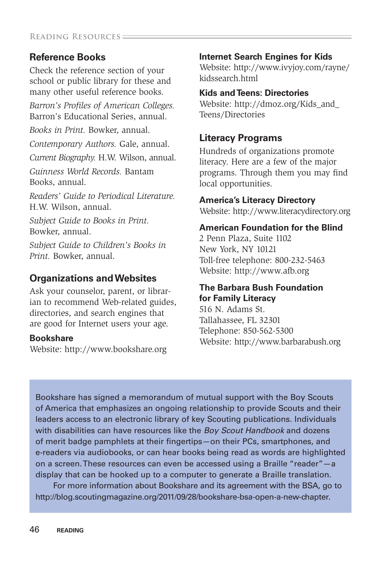# **Reference Books**

Check the reference section of your school or public library for these and many other useful reference books. *Barron's Profiles of American Colleges.* Barron's Educational Series, annual. *Books in Print.* Bowker, annual.

*Contemporary Authors.* Gale, annual. *Current Biography.* H.W. Wilson, annual. *Guinness World Records.* Bantam

Books, annual.

*Readers' Guide to Periodical Literature.*  H.W. Wilson, annual.

*Subject Guide to Books in Print.*  Bowker, annual.

*Subject Guide to Children's Books in Print.* Bowker, annual.

# **Organizations and Websites**

Ask your counselor, parent, or librarian to recommend Web-related guides, directories, and search engines that are good for Internet users your age.

#### **Bookshare**

Website: <http://www.bookshare.org>

## **Internet Search Engines for Kids**

Website: [http://www.ivyjoy.com/rayne/](http://www.ivyjoy.com/rayne/kidssearch.html) [kidssearch.html](http://www.ivyjoy.com/rayne/kidssearch.html)

#### **Kids and Teens: Directories**

Website: [http://dmoz.org/Kids\\_and\\_](http://dmoz.org/Kids_and_Teens/Directories) [Teens/Directories](http://dmoz.org/Kids_and_Teens/Directories)

# **Literacy Programs**

Hundreds of organizations promote literacy. Here are a few of the major programs. Through them you may find local opportunities.

## **America's Literacy Directory**

Website:<http://www.literacydirectory.org>

#### **American Foundation for the Blind**

2 Penn Plaza, Suite 1102 New York, NY 10121 Toll-free telephone: 800-232-5463 Website: <http://www.afb.org>

## **The Barbara Bush Foundation for Family Literacy**

516 N. Adams St. Tallahassee, FL 32301 Telephone: 850-562-5300 Website: <http://www.barbarabush.org>

Bookshare has signed a memorandum of mutual support with the Boy Scouts of America that emphasizes an ongoing relationship to provide Scouts and their leaders access to an electronic library of key Scouting publications. Individuals with disabilities can have resources like the *Boy Scout Handbook* and dozens of merit badge pamphlets at their fingertips—on their PCs, smartphones, and e-readers via audiobooks, or can hear books being read as words are highlighted on a screen. These resources can even be accessed using a Braille "reader"—a display that can be hooked up to a computer to generate a Braille translation.

For more information about Bookshare and its agreement with the BSA, go to [http://blog.scoutingmagazine.org/2011/09/28/bookshare-bsa-open-a-new-chapter.](http://blog.scoutingmagazine.org/2011/09/28/bookshare-bsa-open-a-new-chapter)